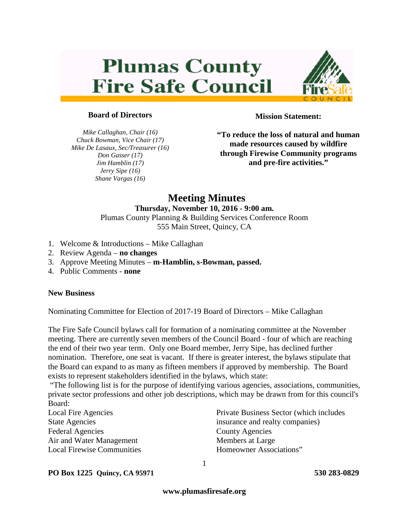# **Plumas County Fire Safe Council**



### **Board of Directors**

*Mike Callaghan, Chair (16) Chuck Bowman, Vice Chair (17) Mike De Lasaux, Sec/Treasurer (16) Don Gasser (17) Jim Hamblin (17) Jerry Sipe (16) Shane Vargas (16)*

**Mission Statement:**

**"To reduce the loss of natural and human made resources caused by wildfire through Firewise Community programs and pre-fire activities."**

# **Meeting Minutes**

# **Thursday, November 10, 2016 - 9:00 am.**

Plumas County Planning & Building Services Conference Room 555 Main Street, Quincy, CA

- 1. Welcome & Introductions Mike Callaghan
- 2. Review Agenda **no changes**
- 3. Approve Meeting Minutes **m-Hamblin, s-Bowman, passed.**
- 4. Public Comments **none**

#### **New Business**

Nominating Committee for Election of 2017-19 Board of Directors – Mike Callaghan

The Fire Safe Council bylaws call for formation of a nominating committee at the November meeting. There are currently seven members of the Council Board - four of which are reaching the end of their two year term. Only one Board member, Jerry Sipe, has declined further nomination. Therefore, one seat is vacant. If there is greater interest, the bylaws stipulate that the Board can expand to as many as fifteen members if approved by membership. The Board exists to represent stakeholders identified in the bylaws, which state:

"The following list is for the purpose of identifying various agencies, associations, communities, private sector professions and other job descriptions, which may be drawn from for this council's Board:

| <b>Local Fire Agencies</b>        |
|-----------------------------------|
| <b>State Agencies</b>             |
| <b>Federal Agencies</b>           |
| Air and Water Management          |
| <b>Local Firewise Communities</b> |

Private Business Sector (which includes insurance and realty companies) County Agencies Members at Large Homeowner Associations"

#### **PO Box 1225 Quincy, CA 95971 530 283-0829**

**www.plumasfiresafe.org**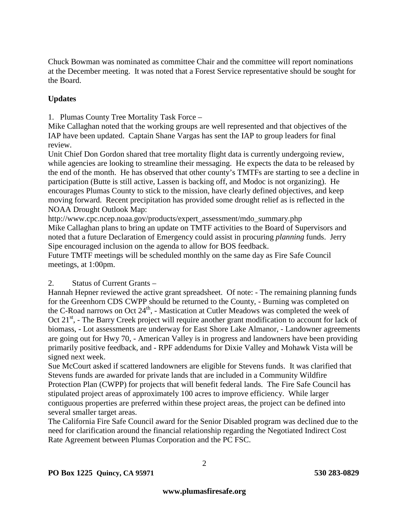Chuck Bowman was nominated as committee Chair and the committee will report nominations at the December meeting. It was noted that a Forest Service representative should be sought for the Board.

# **Updates**

1. Plumas County Tree Mortality Task Force –

Mike Callaghan noted that the working groups are well represented and that objectives of the IAP have been updated. Captain Shane Vargas has sent the IAP to group leaders for final review.

Unit Chief Don Gordon shared that tree mortality flight data is currently undergoing review, while agencies are looking to streamline their messaging. He expects the data to be released by the end of the month. He has observed that other county's TMTFs are starting to see a decline in participation (Butte is still active, Lassen is backing off, and Modoc is not organizing). He encourages Plumas County to stick to the mission, have clearly defined objectives, and keep moving forward. Recent precipitation has provided some drought relief as is reflected in the NOAA Drought Outlook Map:

http://www.cpc.ncep.noaa.gov/products/expert\_assessment/mdo\_summary.php Mike Callaghan plans to bring an update on TMTF activities to the Board of Supervisors and noted that a future Declaration of Emergency could assist in procuring *planning* funds. Jerry Sipe encouraged inclusion on the agenda to allow for BOS feedback.

Future TMTF meetings will be scheduled monthly on the same day as Fire Safe Council meetings, at 1:00pm.

## 2. Status of Current Grants –

Hannah Hepner reviewed the active grant spreadsheet. Of note: - The remaining planning funds for the Greenhorn CDS CWPP should be returned to the County, - Burning was completed on the C-Road narrows on Oct  $24<sup>th</sup>$ , - Mastication at Cutler Meadows was completed the week of Oct 21<sup>st</sup>, - The Barry Creek project will require another grant modification to account for lack of biomass, - Lot assessments are underway for East Shore Lake Almanor, - Landowner agreements are going out for Hwy 70, - American Valley is in progress and landowners have been providing primarily positive feedback, and - RPF addendums for Dixie Valley and Mohawk Vista will be signed next week.

Sue McCourt asked if scattered landowners are eligible for Stevens funds. It was clarified that Stevens funds are awarded for private lands that are included in a Community Wildfire Protection Plan (CWPP) for projects that will benefit federal lands. The Fire Safe Council has stipulated project areas of approximately 100 acres to improve efficiency. While larger contiguous properties are preferred within these project areas, the project can be defined into several smaller target areas.

The California Fire Safe Council award for the Senior Disabled program was declined due to the need for clarification around the financial relationship regarding the Negotiated Indirect Cost Rate Agreement between Plumas Corporation and the PC FSC.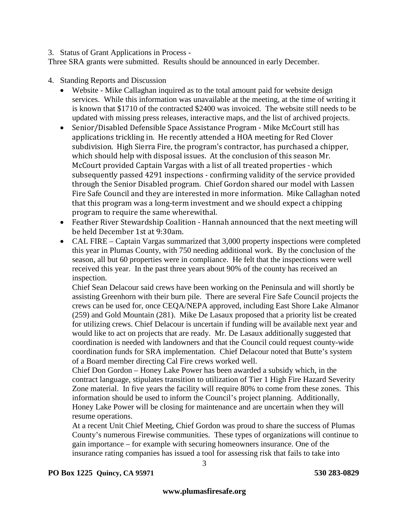#### 3. Status of Grant Applications in Process -

Three SRA grants were submitted. Results should be announced in early December.

- 4. Standing Reports and Discussion
	- Website Mike Callaghan inquired as to the total amount paid for website design services. While this information was unavailable at the meeting, at the time of writing it is known that \$1710 of the contracted \$2400 was invoiced. The website still needs to be updated with missing press releases, interactive maps, and the list of archived projects.
	- Senior/Disabled Defensible Space Assistance Program Mike McCourt still has applications trickling in. He recently attended a HOA meeting for Red Clover subdivision. High Sierra Fire, the program's contractor, has purchased a chipper, which should help with disposal issues. At the conclusion of this season Mr. McCourt provided Captain Vargas with a list of all treated properties - which subsequently passed 4291 inspections - confirming validity of the service provided through the Senior Disabled program. Chief Gordon shared our model with Lassen Fire Safe Council and they are interested in more information. Mike Callaghan noted that this program was a long-term investment and we should expect a chipping program to require the same wherewithal.
	- Feather River Stewardship Coalition Hannah announced that the next meeting will be held December 1st at 9:30am.
	- CAL FIRE Captain Vargas summarized that 3,000 property inspections were completed this year in Plumas County, with 750 needing additional work. By the conclusion of the season, all but 60 properties were in compliance. He felt that the inspections were well received this year. In the past three years about 90% of the county has received an inspection.

Chief Sean Delacour said crews have been working on the Peninsula and will shortly be assisting Greenhorn with their burn pile. There are several Fire Safe Council projects the crews can be used for, once CEQA/NEPA approved, including East Shore Lake Almanor (259) and Gold Mountain (281). Mike De Lasaux proposed that a priority list be created for utilizing crews. Chief Delacour is uncertain if funding will be available next year and would like to act on projects that are ready. Mr. De Lasaux additionally suggested that coordination is needed with landowners and that the Council could request county-wide coordination funds for SRA implementation. Chief Delacour noted that Butte's system of a Board member directing Cal Fire crews worked well.

Chief Don Gordon – Honey Lake Power has been awarded a subsidy which, in the contract language, stipulates transition to utilization of Tier 1 High Fire Hazard Severity Zone material. In five years the facility will require 80% to come from these zones. This information should be used to inform the Council's project planning. Additionally, Honey Lake Power will be closing for maintenance and are uncertain when they will resume operations.

At a recent Unit Chief Meeting, Chief Gordon was proud to share the success of Plumas County's numerous Firewise communities. These types of organizations will continue to gain importance – for example with securing homeowners insurance. One of the insurance rating companies has issued a tool for assessing risk that fails to take into